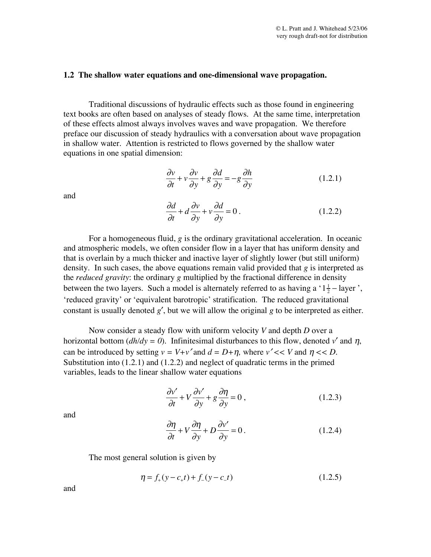## **1.2 The shallow water equations and one-dimensional wave propagation.**

Traditional discussions of hydraulic effects such as those found in engineering text books are often based on analyses of steady flows. At the same time, interpretation of these effects almost always involves waves and wave propagation. We therefore preface our discussion of steady hydraulics with a conversation about wave propagation in shallow water. Attention is restricted to flows governed by the shallow water equations in one spatial dimension:

$$
\frac{\partial v}{\partial t} + v \frac{\partial v}{\partial y} + g \frac{\partial d}{\partial y} = -g \frac{\partial h}{\partial y}
$$
 (1.2.1)

and

$$
\frac{\partial d}{\partial t} + d \frac{\partial v}{\partial y} + v \frac{\partial d}{\partial y} = 0.
$$
 (1.2.2)

For a homogeneous fluid, *g* is the ordinary gravitational acceleration. In oceanic and atmospheric models, we often consider flow in a layer that has uniform density and that is overlain by a much thicker and inactive layer of slightly lower (but still uniform) density. In such cases, the above equations remain valid provided that *g* is interpreted as the *reduced gravity*: the ordinary *g* multiplied by the fractional difference in density between the two layers. Such a model is alternately referred to as having a ' $1\frac{1}{2}$  – layer', 'reduced gravity' or 'equivalent barotropic' stratification. The reduced gravitational constant is usually denoted *g*′, but we will allow the original *g* to be interpreted as either.

Now consider a steady flow with uniform velocity *V* and depth *D* over a horizontal bottom ( $dh/dy = 0$ ). Infinitesimal disturbances to this flow, denoted *v'* and  $\eta$ , can be introduced by setting  $v = V + v'$  and  $d = D + \eta$ , where  $v' << V$  and  $\eta << D$ . Substitution into (1.2.1) and (1.2.2) and neglect of quadratic terms in the primed variables, leads to the linear shallow water equations

$$
\frac{\partial v'}{\partial t} + V \frac{\partial v'}{\partial y} + g \frac{\partial \eta}{\partial y} = 0, \qquad (1.2.3)
$$

and

$$
\frac{\partial \eta}{\partial t} + V \frac{\partial \eta}{\partial y} + D \frac{\partial v'}{\partial y} = 0.
$$
 (1.2.4)

The most general solution is given by

$$
\eta = f_{+}(y - c_{+}t) + f_{-}(y - c_{-}t)
$$
\n(1.2.5)

and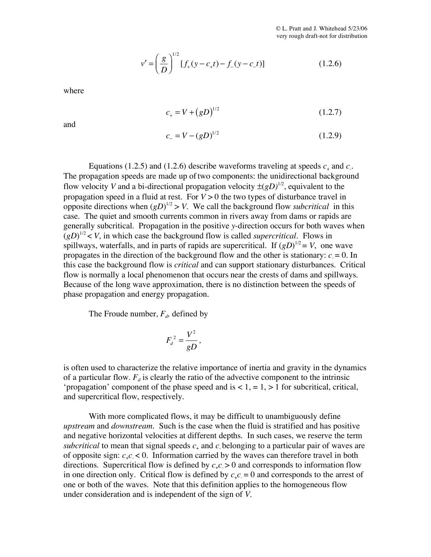$$
v' = \left(\frac{g}{D}\right)^{1/2} \left[f_+(y - c_+t) - f_-(y - c_-t)\right]
$$
 (1.2.6)

where

$$
c_{+} = V + (gD)^{1/2} \tag{1.2.7}
$$

and

$$
c_{-} = V - (gD)^{1/2} \tag{1.2.9}
$$

Equations (1.2.5) and (1.2.6) describe waveforms traveling at speeds  $c_+$  and  $c_-$ . The propagation speeds are made up of two components: the unidirectional background flow velocity *V* and a bi-directional propagation velocity  $\pm (gD)^{1/2}$ , equivalent to the propagation speed in a fluid at rest. For  $V > 0$  the two types of disturbance travel in opposite directions when  $(gD)^{1/2} > V$ . We call the background flow *subcritical* in this case. The quiet and smooth currents common in rivers away from dams or rapids are generally subcritical. Propagation in the positive *y-*direction occurs for both waves when  $(gD)^{1/2}$  < *V*, in which case the background flow is called *supercritical*. Flows in spillways, waterfalls, and in parts of rapids are supercritical. If  $(gD)^{1/2} = V$ , one wave propagates in the direction of the background flow and the other is stationary:  $c = 0$ . In this case the background flow is *critical* and can support stationary disturbances. Critical flow is normally a local phenomenon that occurs near the crests of dams and spillways. Because of the long wave approximation, there is no distinction between the speeds of phase propagation and energy propagation.

The Froude number,  $F<sub>d</sub>$ , defined by

$$
F_d^2 = \frac{V^2}{gD},
$$

is often used to characterize the relative importance of inertia and gravity in the dynamics of a particular flow.  $F_d$  is clearly the ratio of the advective component to the intrinsic 'propagation' component of the phase speed and is  $< 1, = 1, > 1$  for subcritical, critical, and supercritical flow, respectively.

With more complicated flows, it may be difficult to unambiguously define *upstream* and *downstream.* Such is the case when the fluid is stratified and has positive and negative horizontal velocities at different depths. In such cases, we reserve the term *subcritical* to mean that signal speeds  $c_{+}$  and  $c_{-}$  belonging to a particular pair of waves are of opposite sign:  $c_+ c < 0$ . Information carried by the waves can therefore travel in both directions. Supercritical flow is defined by  $c_{\text{+}} c_{\text{+}} > 0$  and corresponds to information flow in one direction only. Critical flow is defined by  $c_+ c = 0$  and corresponds to the arrest of one or both of the waves. Note that this definition applies to the homogeneous flow under consideration and is independent of the sign of *V*.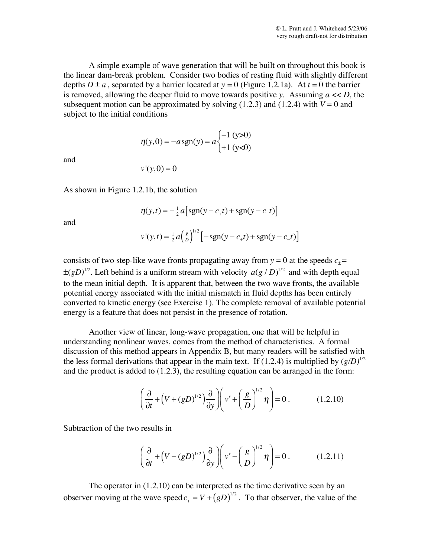A simple example of wave generation that will be built on throughout this book is the linear dam-break problem. Consider two bodies of resting fluid with slightly different depths  $D \pm a$ , separated by a barrier located at  $y = 0$  (Figure 1.2.1a). At  $t = 0$  the barrier is removed, allowing the deeper fluid to move towards positive *y*. Assuming *a* << *D*, the subsequent motion can be approximated by solving  $(1.2.3)$  and  $(1.2.4)$  with  $V = 0$  and subject to the initial conditions

$$
\eta(y,0) = -a \operatorname{sgn}(y) = a \begin{cases} -1 \text{ (y>0)} \\ +1 \text{ (y<0)} \end{cases}
$$

and

$$
v'(y,0)=0
$$

As shown in Figure 1.2.1b, the solution

$$
\eta(y,t) = -\frac{1}{2}a \Big[ sgn(y - c_+t) + sgn(y - c_-t) \Big]
$$

and

$$
v'(y,t) = \frac{1}{2}a\left(\frac{g}{D}\right)^{1/2} \left[ -\text{sgn}(y - c_+t) + \text{sgn}(y - c_-t) \right]
$$

consists of two step-like wave fronts propagating away from  $y = 0$  at the speeds  $c_{+}$  =  $\pm (gD)^{1/2}$ . Left behind is a uniform stream with velocity  $a(g/D)^{1/2}$  and with depth equal to the mean initial depth. It is apparent that, between the two wave fronts, the available potential energy associated with the initial mismatch in fluid depths has been entirely converted to kinetic energy (see Exercise 1). The complete removal of available potential energy is a feature that does not persist in the presence of rotation.

Another view of linear, long-wave propagation, one that will be helpful in understanding nonlinear waves, comes from the method of characteristics. A formal discussion of this method appears in Appendix B, but many readers will be satisfied with the less formal derivations that appear in the main text. If  $(1.2.4)$  is multiplied by  $(g/D)^{1/2}$ and the product is added to (1.2.3), the resulting equation can be arranged in the form:

$$
\left(\frac{\partial}{\partial t} + \left(V + (gD)^{1/2}\right)\frac{\partial}{\partial y}\right)\left(v' + \left(\frac{g}{D}\right)^{1/2}\eta\right) = 0\,. \tag{1.2.10}
$$

Subtraction of the two results in

$$
\left(\frac{\partial}{\partial t} + \left(V - (gD)^{1/2}\right)\frac{\partial}{\partial y}\right)\left(v' - \left(\frac{g}{D}\right)^{1/2}\eta\right) = 0.
$$
 (1.2.11)

The operator in (1.2.10) can be interpreted as the time derivative seen by an observer moving at the wave speed  $c_+ = V + (gD)^{1/2}$ . To that observer, the value of the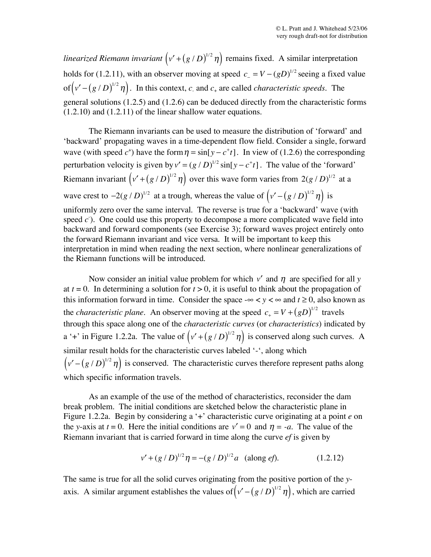*linearized Riemann invariant*  $(v' + (g/D)^{1/2} \eta)$  remains fixed. A similar interpretation holds for (1.2.11), with an observer moving at speed  $c = V - (gD)^{1/2}$  seeing a fixed value of  $(v' - (g/D)^{1/2} \eta)$ . In this context, *c*<sub>-</sub> and *c*<sub>+</sub> are called *characteristic speeds*. The general solutions (1.2.5) and (1.2.6) can be deduced directly from the characteristic forms (1.2.10) and (1.2.11) of the linear shallow water equations.

The Riemann invariants can be used to measure the distribution of 'forward' and 'backward' propagating waves in a time-dependent flow field. Consider a single, forward wave (with speed  $c^+$ ) have the form  $\eta = \sin[y - c^+ t]$ . In view of (1.2.6) the corresponding perturbation velocity is given by  $v' = (g / D)^{1/2} \sin[y - c^+ t]$ . The value of the 'forward' Riemann invariant  $(v' + (g/D)^{1/2} \eta)$  over this wave form varies from  $2(g/D)^{1/2}$  at a wave crest to  $-2(g/D)^{1/2}$  at a trough, whereas the value of  $(v' - (g/D)^{1/2} \eta)$  is uniformly zero over the same interval. The reverse is true for a 'backward' wave (with speed  $c$ ). One could use this property to decompose a more complicated wave field into backward and forward components (see Exercise 3); forward waves project entirely onto the forward Riemann invariant and vice versa. It will be important to keep this interpretation in mind when reading the next section, where nonlinear generalizations of the Riemann functions will be introduced.

Now consider an initial value problem for which  $v'$  and  $\eta$  are specified for all *y* at  $t = 0$ . In determining a solution for  $t > 0$ , it is useful to think about the propagation of this information forward in time. Consider the space - $\infty < y < \infty$  and  $t \ge 0$ , also known as the *characteristic plane*. An observer moving at the speed  $c_+ = V + (gD)^{1/2}$  travels through this space along one of the *characteristic curves* (or *characteristics*) indicated by a '+' in Figure 1.2.2a. The value of  $(v' + (g/D)^{1/2} \eta)$  is conserved along such curves. A similar result holds for the characteristic curves labeled '-', along which  $(v' - (g/D)^{1/2} \eta)$  is conserved. The characteristic curves therefore represent paths along which specific information travels.

As an example of the use of the method of characteristics, reconsider the dam break problem. The initial conditions are sketched below the characteristic plane in Figure 1.2.2a. Begin by considering a '+' characteristic curve originating at a point *e* on the *y*-axis at  $t = 0$ . Here the initial conditions are  $v' = 0$  and  $\eta = -a$ . The value of the Riemann invariant that is carried forward in time along the curve *ef* is given by

$$
v' + (g/D)^{1/2} \eta = -(g/D)^{1/2} a \text{ (along } e f).
$$
 (1.2.12)

The same is true for all the solid curves originating from the positive portion of the *y*axis. A similar argument establishes the values of  $(v' - (g/D)^{1/2} \eta)$ , which are carried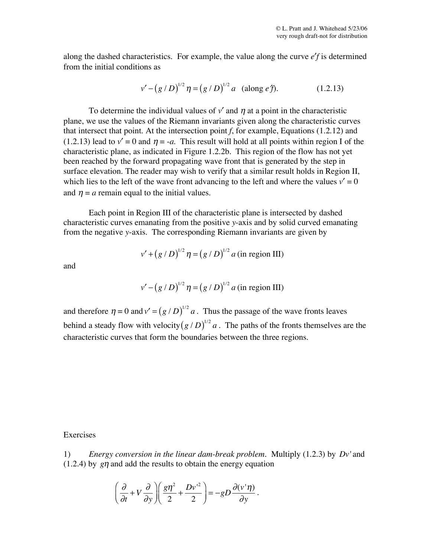along the dashed characteristics. For example, the value along the curve *e*′*f* is determined from the initial conditions as

$$
v' - (g/D)^{1/2} \eta = (g/D)^{1/2} a \text{ (along } e\text{ f}). \tag{1.2.13}
$$

To determine the individual values of  $v'$  and  $\eta$  at a point in the characteristic plane, we use the values of the Riemann invariants given along the characteristic curves that intersect that point. At the intersection point *f*, for example, Equations (1.2.12) and (1.2.13) lead to  $v' = 0$  and  $\eta = -a$ . This result will hold at all points within region I of the characteristic plane, as indicated in Figure 1.2.2b. This region of the flow has not yet been reached by the forward propagating wave front that is generated by the step in surface elevation. The reader may wish to verify that a similar result holds in Region II, which lies to the left of the wave front advancing to the left and where the values  $v' = 0$ and  $\eta = a$  remain equal to the initial values.

Each point in Region III of the characteristic plane is intersected by dashed characteristic curves emanating from the positive *y*-axis and by solid curved emanating from the negative *y*-axis. The corresponding Riemann invariants are given by

$$
v' + (g/D)^{1/2} \eta = (g/D)^{1/2} a
$$
 (in region III)

and

$$
v' - (g/D)^{1/2} \eta = (g/D)^{1/2} a
$$
 (in region III)

and therefore  $\eta = 0$  and  $v' = (g / D)^{1/2} a$ . Thus the passage of the wave fronts leaves behind a steady flow with velocity $(g/D)^{1/2}a$ . The paths of the fronts themselves are the characteristic curves that form the boundaries between the three regions.

## Exercises

1) *Energy conversion in the linear dam-break problem.* Multiply (1.2.3) by *Dv*' and  $(1.2.4)$  by  $g\eta$  and add the results to obtain the energy equation

$$
\left(\frac{\partial}{\partial t} + V\frac{\partial}{\partial y}\right)\left(\frac{g\eta^2}{2} + \frac{Dv^2}{2}\right) = -gD\frac{\partial(v'\eta)}{\partial y}.
$$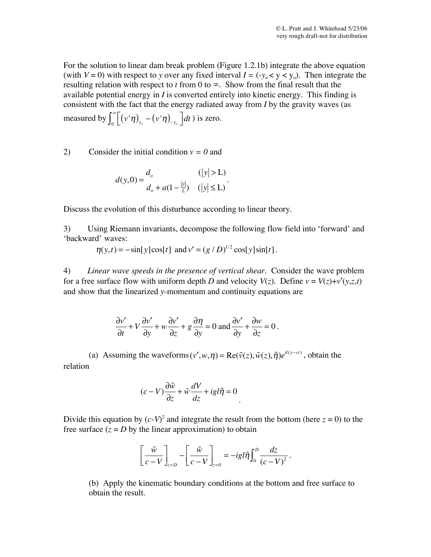For the solution to linear dam break problem (Figure 1.2.1b) integrate the above equation (with  $V = 0$ ) with respect to *y* over any fixed interval  $I = (-y_0 < y < y_0)$ . Then integrate the resulting relation with respect to *t* from 0 to *∞*. Show from the final result that the available potential energy in *I* is converted entirely into kinetic energy. This finding is consistent with the fact that the energy radiated away from *I* by the gravity waves (as measured by  $\int_0^\infty \left[ (v' \eta)_{y_o} - (v' \eta)_{-y_o} \right] dt$  $\int_0^\infty \left[ \left( v' \eta \right)_{y_o} - \left( v' \eta \right)_{-y_o} \right] dt$ ) is zero.

2) Consider the initial condition  $v = 0$  and

$$
d(y,0) = \frac{d_o}{d_o + a(1 - \frac{|y|}{L})} \quad (|y| \le L).
$$

Discuss the evolution of this disturbance according to linear theory.

3) Using Riemann invariants, decompose the following flow field into 'forward' and 'backward' waves:

 $\eta(y,t) = -\sin[y]\cos[t]$  and  $v' = (g/D)^{1/2} \cos[y]\sin[t]$ .

4) *Linear wave speeds in the presence of vertical shear.* Consider the wave problem for a free surface flow with uniform depth *D* and velocity  $V(z)$ . Define  $v = V(z) + v'(y, z, t)$ and show that the linearized *y*-momentum and continuity equations are

$$
\frac{\partial v'}{\partial t} + V \frac{\partial v'}{\partial y} + w \frac{\partial v'}{\partial z} + g \frac{\partial \eta}{\partial y} = 0 \text{ and } \frac{\partial v'}{\partial y} + \frac{\partial w}{\partial z} = 0.
$$

(a) Assuming the waveforms  $(v', w, \eta) = \text{Re}(\tilde{v}(z), \tilde{w}(z), \tilde{\eta})e^{i(v - ct)}$ , obtain the relation

$$
(c - V)\frac{\partial \tilde{w}}{\partial z} + \tilde{w}\frac{dV}{dz} + ig l \tilde{\eta} = 0
$$

Divide this equation by  $(c-V)^2$  and integrate the result from the bottom (here  $z = 0$ ) to the free surface  $(z = D)$  by the linear approximation) to obtain

$$
\left[\frac{\tilde{w}}{c-V}\right]_{z=D} - \left[\frac{\tilde{w}}{c-V}\right]_{z=0} = -ig l \tilde{\eta} \int_0^D \frac{dz}{(c-V)^2}.
$$

(b) Apply the kinematic boundary conditions at the bottom and free surface to obtain the result.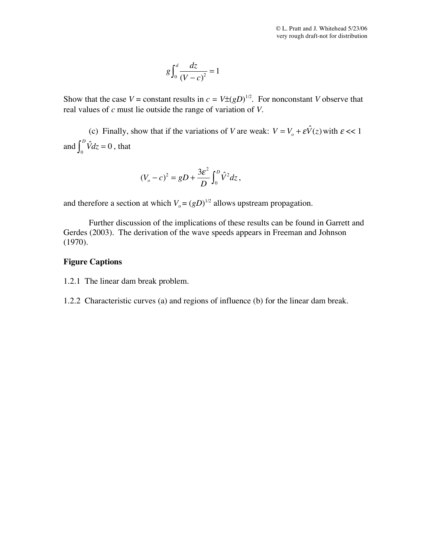$$
g\int_0^d \frac{dz}{\left(V-c\right)^2} = 1
$$

Show that the case  $V =$  constant results in  $c = V \pm (gD)^{1/2}$ . For nonconstant *V* observe that real values of *c* must lie outside the range of variation of *V*.

(c) Finally, show that if the variations of *V* are weak:  $V = V_o + \varepsilon \hat{V}(z)$  with  $\varepsilon \ll 1$ and  $\int_0^D \hat{V} dz$  $\int_0^D \hat{V} dz = 0$ , that

$$
(V_o - c)^2 = gD + \frac{3\varepsilon^2}{D} \int_0^D \hat{V}^2 dz,
$$

and therefore a section at which  $V_0 = (gD)^{1/2}$  allows upstream propagation.

Further discussion of the implications of these results can be found in Garrett and Gerdes (2003). The derivation of the wave speeds appears in Freeman and Johnson (1970).

## **Figure Captions**

- 1.2.1 The linear dam break problem.
- 1.2.2 Characteristic curves (a) and regions of influence (b) for the linear dam break.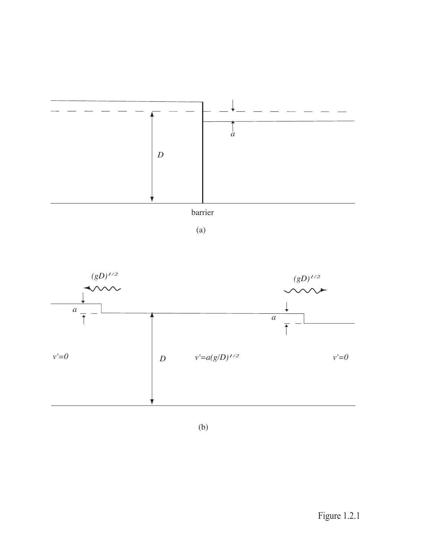

 $(a)$ 



 $(b)$